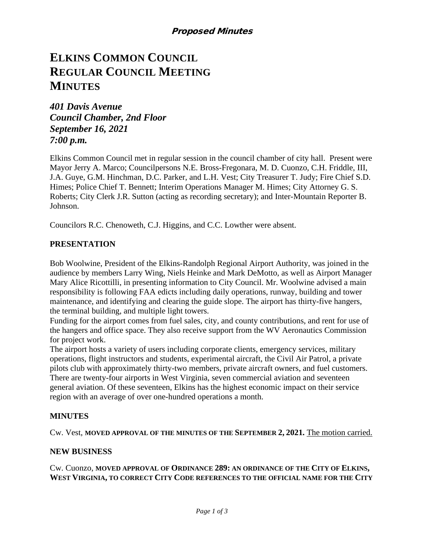# **ELKINS COMMON COUNCIL REGULAR COUNCIL MEETING MINUTES**

*401 Davis Avenue Council Chamber, 2nd Floor September 16, 2021 7:00 p.m.*

Elkins Common Council met in regular session in the council chamber of city hall. Present were Mayor Jerry A. Marco; Councilpersons N.E. Bross-Fregonara, M. D. Cuonzo, C.H. Friddle, III, J.A. Guye, G.M. Hinchman, D.C. Parker, and L.H. Vest; City Treasurer T. Judy; Fire Chief S.D. Himes; Police Chief T. Bennett; Interim Operations Manager M. Himes; City Attorney G. S. Roberts; City Clerk J.R. Sutton (acting as recording secretary); and Inter-Mountain Reporter B. Johnson.

Councilors R.C. Chenoweth, C.J. Higgins, and C.C. Lowther were absent.

## **PRESENTATION**

Bob Woolwine, President of the Elkins-Randolph Regional Airport Authority, was joined in the audience by members Larry Wing, Niels Heinke and Mark DeMotto, as well as Airport Manager Mary Alice Ricottilli, in presenting information to City Council. Mr. Woolwine advised a main responsibility is following FAA edicts including daily operations, runway, building and tower maintenance, and identifying and clearing the guide slope. The airport has thirty-five hangers, the terminal building, and multiple light towers.

Funding for the airport comes from fuel sales, city, and county contributions, and rent for use of the hangers and office space. They also receive support from the WV Aeronautics Commission for project work.

The airport hosts a variety of users including corporate clients, emergency services, military operations, flight instructors and students, experimental aircraft, the Civil Air Patrol, a private pilots club with approximately thirty-two members, private aircraft owners, and fuel customers. There are twenty-four airports in West Virginia, seven commercial aviation and seventeen general aviation. Of these seventeen, Elkins has the highest economic impact on their service region with an average of over one-hundred operations a month.

#### **MINUTES**

Cw. Vest, **MOVED APPROVAL OF THE MINUTES OF THE SEPTEMBER 2, 2021.** The motion carried.

#### **NEW BUSINESS**

Cw. Cuonzo, **MOVED APPROVAL OF ORDINANCE 289: AN ORDINANCE OF THE CITY OF ELKINS, WEST VIRGINIA, TO CORRECT CITY CODE REFERENCES TO THE OFFICIAL NAME FOR THE CITY**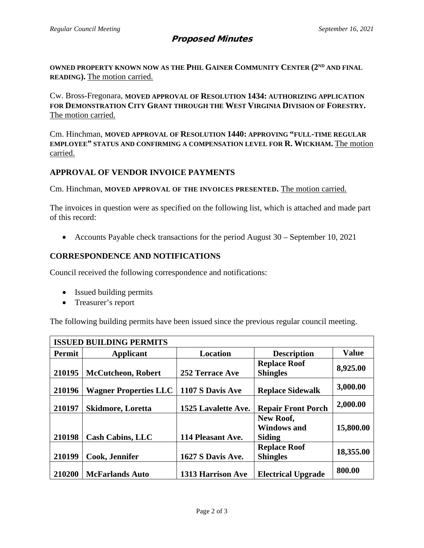# Proposed Minutes

OWNED PROPERTY KNOWN NOW AS THE PHIL GAINER COMMUNITY CENTER (2<sup>ND</sup> AND FINAL **READING).** The motion carried.

Cw. Bross-Fregonara, **MOVED APPROVAL OF RESOLUTION 1434: AUTHORIZING APPLICATION FOR DEMONSTRATION CITY GRANT THROUGH THE WEST VIRGINIA DIVISION OF FORESTRY.** The motion carried.

Cm. Hinchman, **MOVED APPROVAL OF RESOLUTION 1440: APPROVING "FULL-TIME REGULAR EMPLOYEE" STATUS AND CONFIRMING A COMPENSATION LEVEL FOR R. WICKHAM.** The motion carried.

## **APPROVAL OF VENDOR INVOICE PAYMENTS**

Cm. Hinchman, **MOVED APPROVAL OF THE INVOICES PRESENTED.** The motion carried.

The invoices in question were as specified on the following list, which is attached and made part of this record:

• Accounts Payable check transactions for the period August 30 – September 10, 2021

## **CORRESPONDENCE AND NOTIFICATIONS**

Council received the following correspondence and notifications:

- Issued building permits
- Treasurer's report

The following building permits have been issued since the previous regular council meeting.

| <b>ISSUED BUILDING PERMITS</b> |                              |                          |                                                  |              |  |  |  |
|--------------------------------|------------------------------|--------------------------|--------------------------------------------------|--------------|--|--|--|
| Permit                         | Applicant                    | <b>Location</b>          | <b>Description</b>                               | <b>Value</b> |  |  |  |
| 210195                         | <b>McCutcheon, Robert</b>    | 252 Terrace Ave          | <b>Replace Roof</b><br><b>Shingles</b>           | 8,925.00     |  |  |  |
| 210196                         | <b>Wagner Properties LLC</b> | 1107 S Davis Ave         | <b>Replace Sidewalk</b>                          | 3,000.00     |  |  |  |
| 210197                         | <b>Skidmore, Loretta</b>     | 1525 Lavalette Ave.      | <b>Repair Front Porch</b>                        | 2,000.00     |  |  |  |
| 210198                         | <b>Cash Cabins, LLC</b>      | 114 Pleasant Ave.        | New Roof,<br><b>Windows and</b><br><b>Siding</b> | 15,800.00    |  |  |  |
| 210199                         | Cook, Jennifer               | 1627 S Davis Ave.        | <b>Replace Roof</b><br><b>Shingles</b>           | 18,355.00    |  |  |  |
| 210200                         | <b>McFarlands Auto</b>       | <b>1313 Harrison Ave</b> | <b>Electrical Upgrade</b>                        | 800.00       |  |  |  |